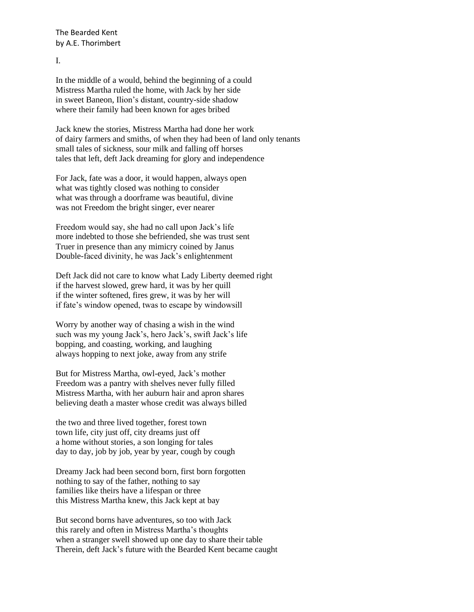I.

In the middle of a would, behind the beginning of a could Mistress Martha ruled the home, with Jack by her side in sweet Baneon, Ilion's distant, country-side shadow where their family had been known for ages bribed

Jack knew the stories, Mistress Martha had done her work of dairy farmers and smiths, of when they had been of land only tenants small tales of sickness, sour milk and falling off horses tales that left, deft Jack dreaming for glory and independence

For Jack, fate was a door, it would happen, always open what was tightly closed was nothing to consider what was through a doorframe was beautiful, divine was not Freedom the bright singer, ever nearer

Freedom would say, she had no call upon Jack's life more indebted to those she befriended, she was trust sent Truer in presence than any mimicry coined by Janus Double-faced divinity, he was Jack's enlightenment

Deft Jack did not care to know what Lady Liberty deemed right if the harvest slowed, grew hard, it was by her quill if the winter softened, fires grew, it was by her will if fate's window opened, twas to escape by windowsill

Worry by another way of chasing a wish in the wind such was my young Jack's, hero Jack's, swift Jack's life bopping, and coasting, working, and laughing always hopping to next joke, away from any strife

But for Mistress Martha, owl-eyed, Jack's mother Freedom was a pantry with shelves never fully filled Mistress Martha, with her auburn hair and apron shares believing death a master whose credit was always billed

the two and three lived together, forest town town life, city just off, city dreams just off a home without stories, a son longing for tales day to day, job by job, year by year, cough by cough

Dreamy Jack had been second born, first born forgotten nothing to say of the father, nothing to say families like theirs have a lifespan or three this Mistress Martha knew, this Jack kept at bay

But second borns have adventures, so too with Jack this rarely and often in Mistress Martha's thoughts when a stranger swell showed up one day to share their table Therein, deft Jack's future with the Bearded Kent became caught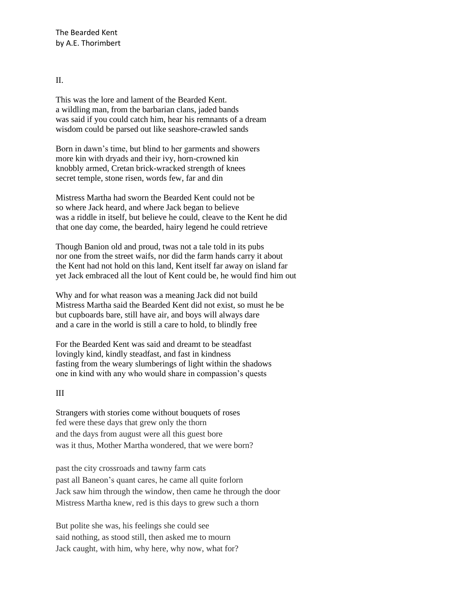#### $II$ .

This was the lore and lament of the Bearded Kent. a wildling man, from the barbarian clans, jaded bands was said if you could catch him, hear his remnants of a dream wisdom could be parsed out like seashore-crawled sands

Born in dawn's time, but blind to her garments and showers more kin with dryads and their ivy, horn-crowned kin knobbly armed, Cretan brick-wracked strength of knees secret temple, stone risen, words few, far and din

Mistress Martha had sworn the Bearded Kent could not be so where Jack heard, and where Jack began to believe was a riddle in itself, but believe he could, cleave to the Kent he did that one day come, the bearded, hairy legend he could retrieve

Though Banion old and proud, twas not a tale told in its pubs nor one from the street waifs, nor did the farm hands carry it about the Kent had not hold on this land, Kent itself far away on island far yet Jack embraced all the lout of Kent could be, he would find him out

Why and for what reason was a meaning Jack did not build Mistress Martha said the Bearded Kent did not exist, so must he be but cupboards bare, still have air, and boys will always dare and a care in the world is still a care to hold, to blindly free

For the Bearded Kent was said and dreamt to be steadfast lovingly kind, kindly steadfast, and fast in kindness fasting from the weary slumberings of light within the shadows one in kind with any who would share in compassion's quests

#### III

Strangers with stories come without bouquets of roses fed were these days that grew only the thorn and the days from august were all this guest bore was it thus, Mother Martha wondered, that we were born?

past the city crossroads and tawny farm cats past all Baneon's quant cares, he came all quite forlorn Jack saw him through the window, then came he through the door Mistress Martha knew, red is this days to grew such a thorn

But polite she was, his feelings she could see said nothing, as stood still, then asked me to mourn Jack caught, with him, why here, why now, what for?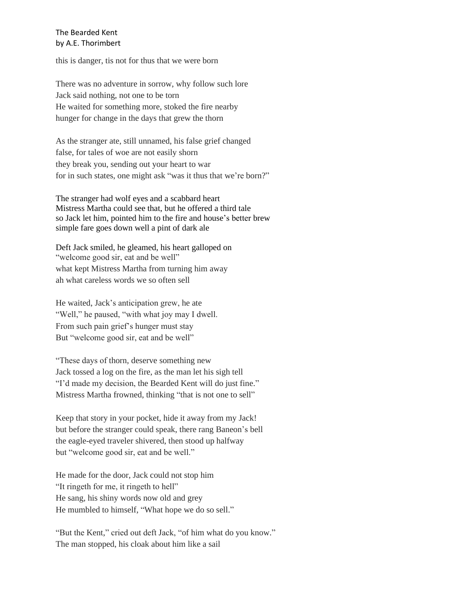this is danger, tis not for thus that we were born

There was no adventure in sorrow, why follow such lore Jack said nothing, not one to be torn He waited for something more, stoked the fire nearby hunger for change in the days that grew the thorn

As the stranger ate, still unnamed, his false grief changed false, for tales of woe are not easily shorn they break you, sending out your heart to war for in such states, one might ask "was it thus that we're born?"

The stranger had wolf eyes and a scabbard heart Mistress Martha could see that, but he offered a third tale so Jack let him, pointed him to the fire and house's better brew simple fare goes down well a pint of dark ale

Deft Jack smiled, he gleamed, his heart galloped on "welcome good sir, eat and be well" what kept Mistress Martha from turning him away ah what careless words we so often sell

He waited, Jack's anticipation grew, he ate "Well," he paused, "with what joy may I dwell. From such pain grief's hunger must stay But "welcome good sir, eat and be well"

"These days of thorn, deserve something new Jack tossed a log on the fire, as the man let his sigh tell "I'd made my decision, the Bearded Kent will do just fine." Mistress Martha frowned, thinking "that is not one to sell"

Keep that story in your pocket, hide it away from my Jack! but before the stranger could speak, there rang Baneon's bell the eagle-eyed traveler shivered, then stood up halfway but "welcome good sir, eat and be well."

He made for the door, Jack could not stop him "It ringeth for me, it ringeth to hell" He sang, his shiny words now old and grey He mumbled to himself, "What hope we do so sell."

"But the Kent," cried out deft Jack, "of him what do you know." The man stopped, his cloak about him like a sail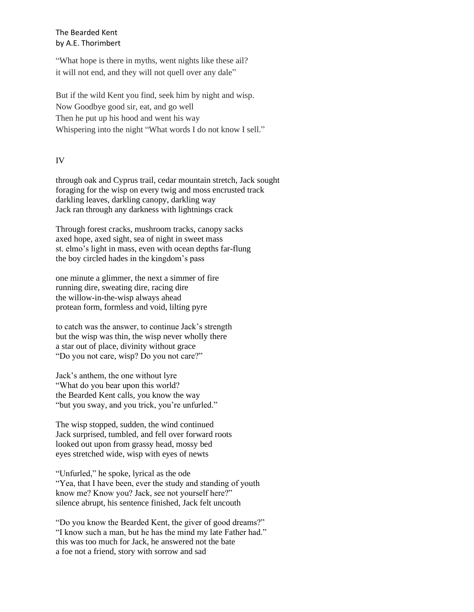"What hope is there in myths, went nights like these ail? it will not end, and they will not quell over any dale"

But if the wild Kent you find, seek him by night and wisp. Now Goodbye good sir, eat, and go well Then he put up his hood and went his way Whispering into the night "What words I do not know I sell."

## IV

through oak and Cyprus trail, cedar mountain stretch, Jack sought foraging for the wisp on every twig and moss encrusted track darkling leaves, darkling canopy, darkling way Jack ran through any darkness with lightnings crack

Through forest cracks, mushroom tracks, canopy sacks axed hope, axed sight, sea of night in sweet mass st. elmo's light in mass, even with ocean depths far-flung the boy circled hades in the kingdom's pass

one minute a glimmer, the next a simmer of fire running dire, sweating dire, racing dire the willow-in-the-wisp always ahead protean form, formless and void, lilting pyre

to catch was the answer, to continue Jack's strength but the wisp was thin, the wisp never wholly there a star out of place, divinity without grace "Do you not care, wisp? Do you not care?"

Jack's anthem, the one without lyre "What do you bear upon this world? the Bearded Kent calls, you know the way "but you sway, and you trick, you're unfurled."

The wisp stopped, sudden, the wind continued Jack surprised, tumbled, and fell over forward roots looked out upon from grassy head, mossy bed eyes stretched wide, wisp with eyes of newts

"Unfurled," he spoke, lyrical as the ode "Yea, that I have been, ever the study and standing of youth know me? Know you? Jack, see not yourself here?" silence abrupt, his sentence finished, Jack felt uncouth

"Do you know the Bearded Kent, the giver of good dreams?" "I know such a man, but he has the mind my late Father had." this was too much for Jack, he answered not the bate a foe not a friend, story with sorrow and sad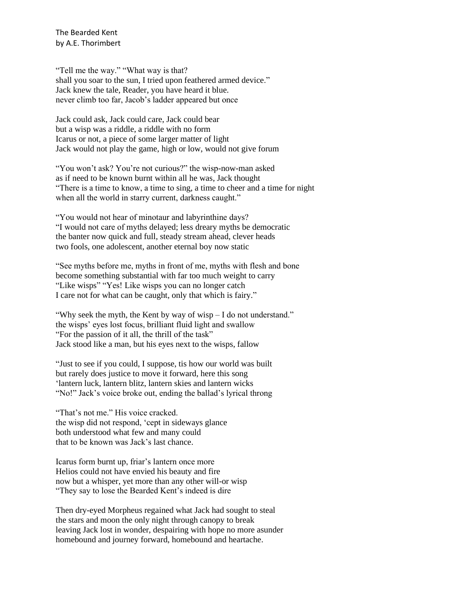"Tell me the way." "What way is that? shall you soar to the sun, I tried upon feathered armed device." Jack knew the tale, Reader, you have heard it blue. never climb too far, Jacob's ladder appeared but once

Jack could ask, Jack could care, Jack could bear but a wisp was a riddle, a riddle with no form Icarus or not, a piece of some larger matter of light Jack would not play the game, high or low, would not give forum

"You won't ask? You're not curious?" the wisp-now-man asked as if need to be known burnt within all he was, Jack thought "There is a time to know, a time to sing, a time to cheer and a time for night when all the world in starry current, darkness caught."

"You would not hear of minotaur and labyrinthine days? "I would not care of myths delayed; less dreary myths be democratic the banter now quick and full, steady stream ahead, clever heads two fools, one adolescent, another eternal boy now static

"See myths before me, myths in front of me, myths with flesh and bone become something substantial with far too much weight to carry "Like wisps" "Yes! Like wisps you can no longer catch I care not for what can be caught, only that which is fairy."

"Why seek the myth, the Kent by way of wisp – I do not understand." the wisps' eyes lost focus, brilliant fluid light and swallow "For the passion of it all, the thrill of the task" Jack stood like a man, but his eyes next to the wisps, fallow

"Just to see if you could, I suppose, tis how our world was built but rarely does justice to move it forward, here this song 'lantern luck, lantern blitz, lantern skies and lantern wicks "No!" Jack's voice broke out, ending the ballad's lyrical throng

"That's not me." His voice cracked. the wisp did not respond, 'cept in sideways glance both understood what few and many could that to be known was Jack's last chance.

Icarus form burnt up, friar's lantern once more Helios could not have envied his beauty and fire now but a whisper, yet more than any other will-or wisp "They say to lose the Bearded Kent's indeed is dire

Then dry-eyed Morpheus regained what Jack had sought to steal the stars and moon the only night through canopy to break leaving Jack lost in wonder, despairing with hope no more asunder homebound and journey forward, homebound and heartache.